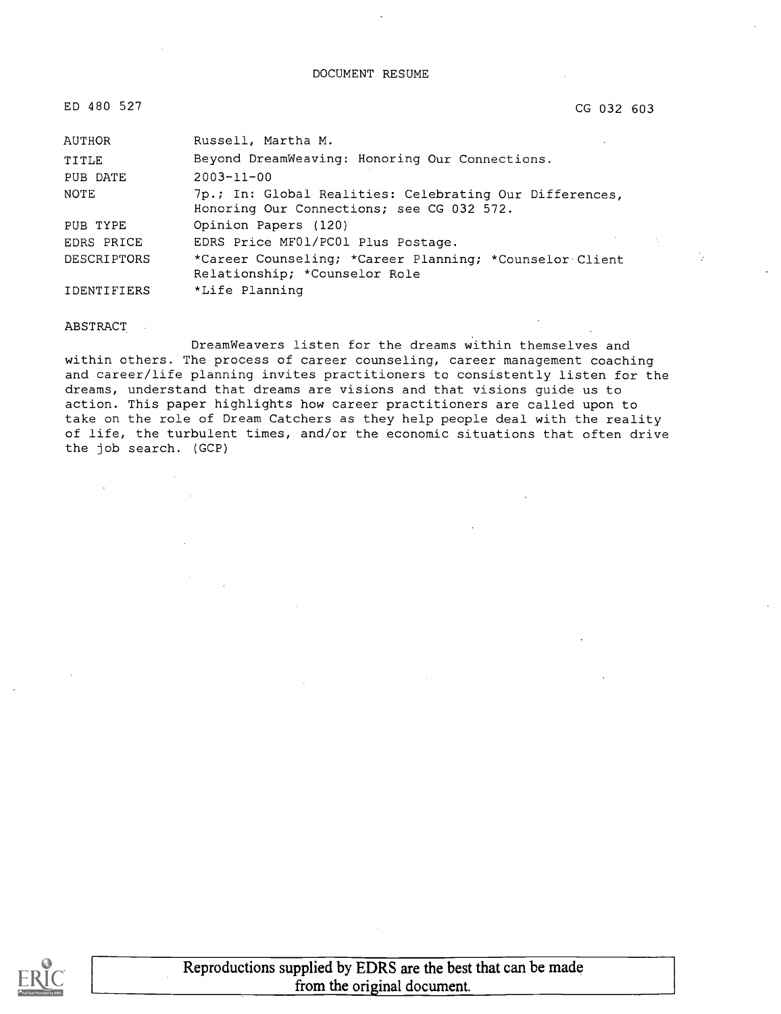CG 032 603

| AUTHOR      | Russell, Martha M.                                                                                   |
|-------------|------------------------------------------------------------------------------------------------------|
| TITLE       | Beyond DreamWeaving: Honoring Our Connections.                                                       |
| PUB DATE    | $2003 - 11 - 00$                                                                                     |
| NOTE        | 7p.; In: Global Realities: Celebrating Our Differences,<br>Honoring Our Connections; see CG 032 572. |
| PUB TYPE    | Opinion Papers (120)                                                                                 |
| EDRS PRICE  | EDRS Price MF01/PC01 Plus Postage.                                                                   |
| DESCRIPTORS | *Career Counseling; *Career Planning; *Counselor Client<br>Relationship; *Counselor Role             |
| IDENTIFIERS | *Life Planning                                                                                       |

#### ABSTRACT

DreamWeavers listen for the dreams within themselves and within others. The process of career counseling, career management coaching and career/life planning invites practitioners to consistently listen for the dreams, understand that dreams are visions and that visions guide us to action. This paper highlights how career practitioners are called upon to take on the role of Dream Catchers as they help people deal with the reality of life, the turbulent times, and/or the economic situations that often drive the job search. (GCP)

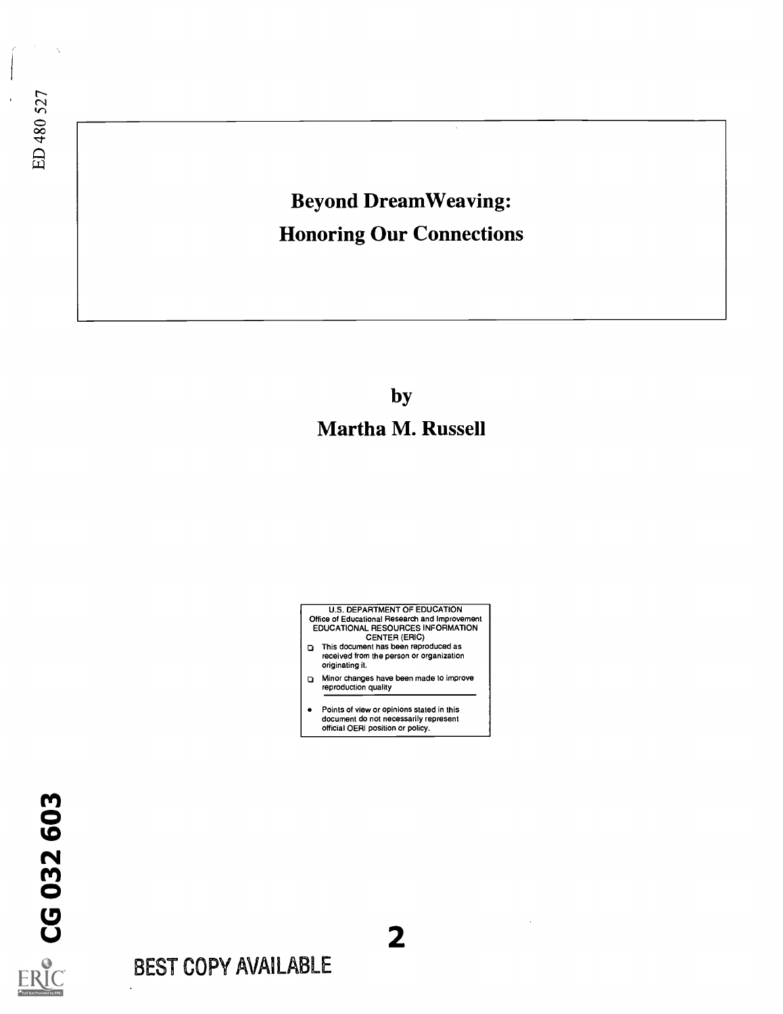# ED 480 527

### Beyond Dream Weaving: Honoring Our Connections

by Martha M. Russell



- ct Minor changes have been made to improve reproduction quality
- Points of view or opinions stated in this document do not necessarily represent official OERI position or policy.

2

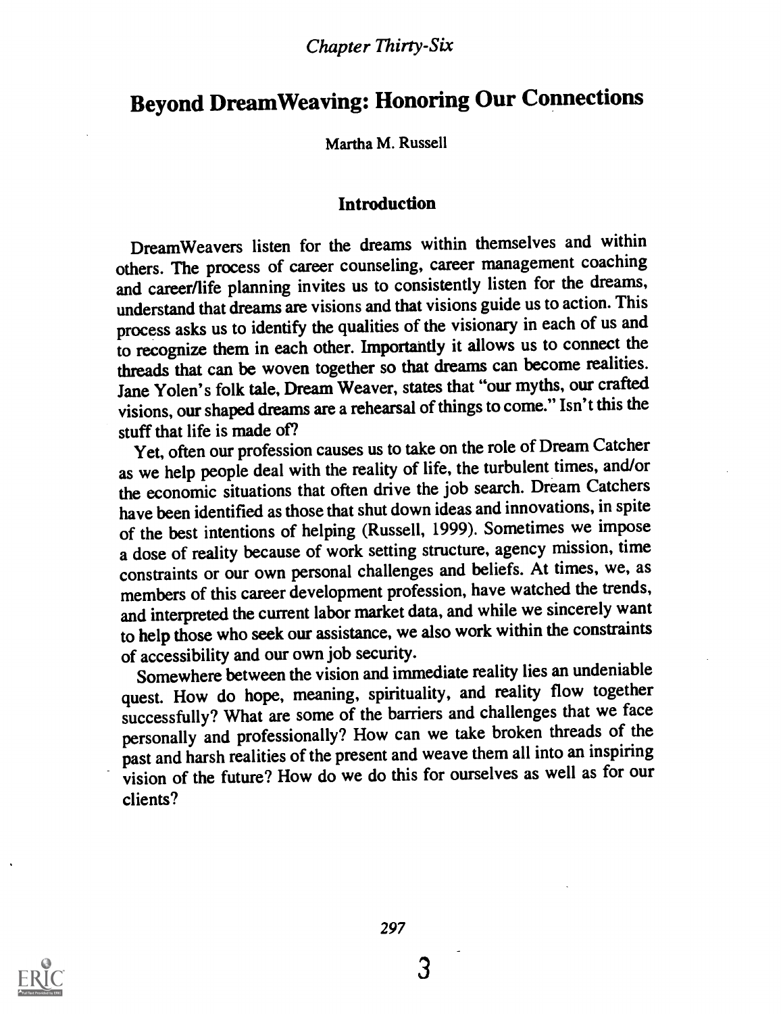## Beyond Dream Weaving: Honoring Our Connections

Martha M. Russell

#### Introduction

Dream Weavers listen for the dreams within themselves and within others. The process of career counseling, career management coaching and career/life planning invites us to consistently listen for the dreams, understand that dreams are visions and that visions guide us to action. This process asks us to identify the qualities of the visionary in each of us and to recognize them in each other. Importantly it allows us to connect the threads that can be woven together so that dreams can become realities. Jane Yolen's folk tale, Dream Weaver, states that "our myths, our crafted visions, our shaped dreams are a rehearsal of things to come." Isn't this the stuff that life is made of?

Yet, often our profession causes us to take on the role of Dream Catcher as we help people deal with the reality of life, the turbulent times, and/or the economic situations that often drive the job search. Dream Catchers have been identified as those that shut down ideas and innovations, in spite of the best intentions of helping (Russell, 1999). Sometimes we impose a dose of reality because of work setting structure, agency mission, time constraints or our own personal challenges and beliefs. At times, we, as members of this career development profession, have watched the trends, and interpreted the current labor market data, and while we sincerely want to help those who seek our assistance, we also work within the constraints of accessibility and our own job security.

Somewhere between the vision and immediate reality lies an undeniable quest. How do hope, meaning, spirituality, and reality flow together successfully? What are some of the barriers and challenges that we face personally and professionally? How can we take broken threads of the past and harsh realities of the present and weave them all into an inspiring vision of the future? How do we do this for ourselves as well as for our clients?

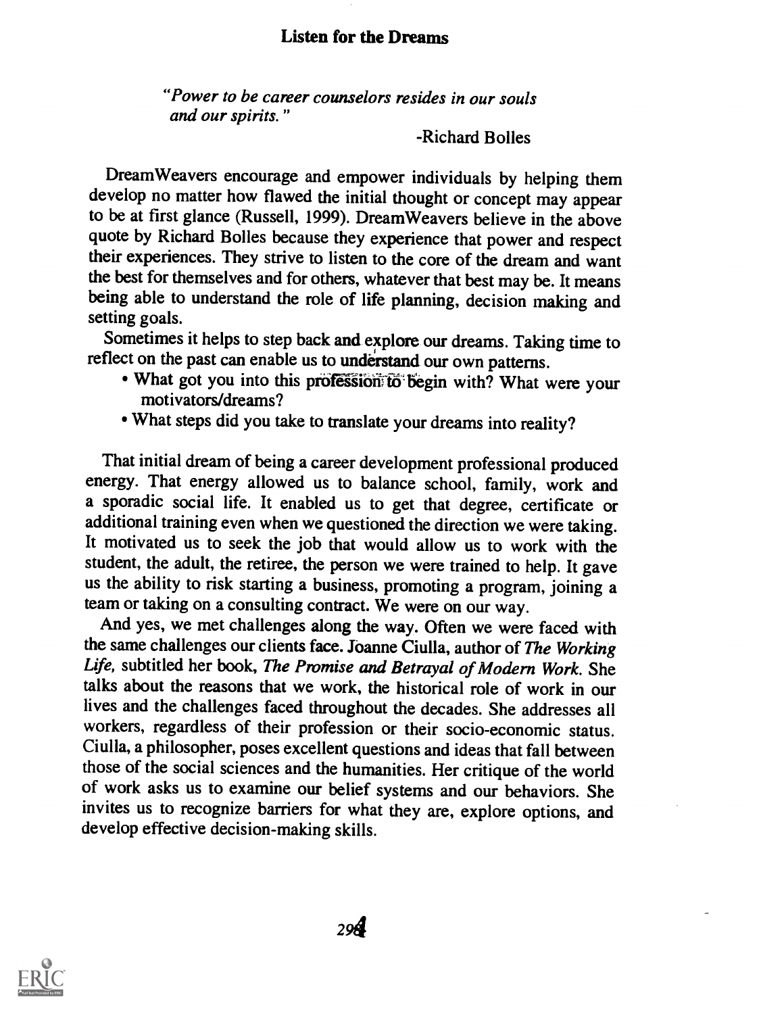#### Listen for the Dreams

"Power to be career counselors resides in our souls and our spirits."

-Richard Bolles

Dream Weavers encourage and empower individuals by helping them develop no matter how flawed the initial thought or concept may appear to be at first glance (Russell, 1999). Dream Weavers believe in the above quote by Richard Bolles because they experience that power and respect their experiences. They strive to listen to the core of the dream and want the best for themselves and for others, whatever that best may be. It means being able to understand the role of life planning, decision making and setting goals.

Sometimes it helps to step back and explore our dreams. Taking time to reflect on the past can enable us to understand our own patterns.

- $\bullet$  What got you into this profession to begin with? What were your motivators/dreams?
- What steps did you take to translate your dreams into reality?

That initial dream of being a career development professional produced energy. That energy allowed us to balance school, family, work and a sporadic social life. It enabled us to get that degree, certificate or additional training even when we questioned the direction we were taking. It motivated us to seek the job that would allow us to work with the student, the adult, the retiree, the person we were trained to help. It gave us the ability to risk starting a business, promoting a program, joining a team or taking on a consulting contract. We were on our way.

And yes, we met challenges along the way. Often we were faced with the same challenges our clients face. Joanne Ciulla, author of The Working Life, subtitled her book, The Promise and Betrayal of Modern Work. She talks about the reasons that we work, the historical role of work in our lives and the challenges faced throughout the decades. She addresses all workers, regardless of their profession or their socio-economic status. Ciulla, a philosopher, poses excellent questions and ideas that fall between of work asks us to examine our belief systems and our behaviors. She invites us to recognize barriers for what they are, explore options, and develop effective decision-making skills.

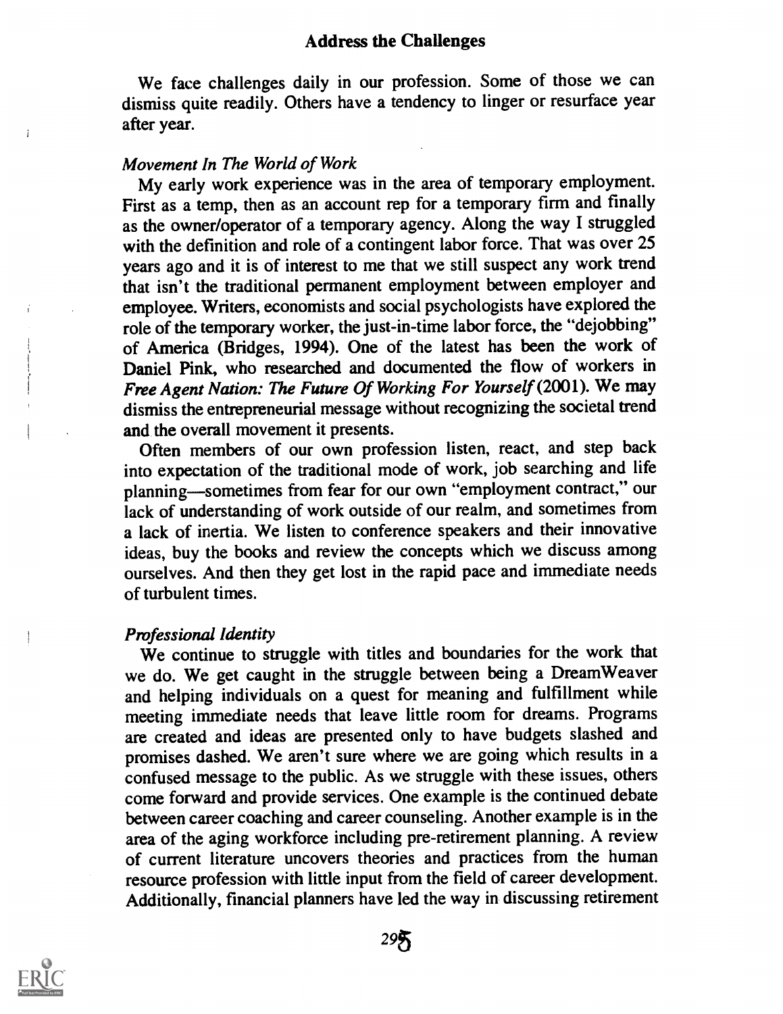#### Address the Challenges

We face challenges daily in our profession. Some of those we can dismiss quite readily. Others have a tendency to linger or resurface year after year.

#### Movement In The World of Work

My early work experience was in the area of temporary employment. First as a temp, then as an account rep for a temporary firm and finally as the owner/operator of a temporary agency. Along the way I struggled with the definition and role of a contingent labor force. That was over 25 years ago and it is of interest to me that we still suspect any work trend that isn't the traditional permanent employment between employer and employee. Writers, economists and social psychologists have explored the role of the temporary worker, the just-in-time labor force, the "dejobbing" of America (Bridges, 1994). One of the latest has been the work of Daniel Pink, who researched and documented the flow of workers in Free Agent Nation: The Future Of Working For Yourself (2001). We may dismiss the entrepreneurial message without recognizing the societal trend and the overall movement it presents.

Often members of our own profession listen, react, and step back into expectation of the traditional mode of work, job searching and life planning-sometimes from fear for our own "employment contract," our lack of understanding of work outside of our realm, and sometimes from a lack of inertia. We listen to conference speakers and their innovative ideas, buy the books and review the concepts which we discuss among ourselves. And then they get lost in the rapid pace and immediate needs of turbulent times.

#### Pmfessional Identity

We continue to struggle with titles and boundaries for the work that we do. We get caught in the struggle between being a DreamWeaver and helping individuals on a quest for meaning and fulfillment while meeting immediate needs that leave little room for dreams. Programs are created and ideas are presented only to have budgets slashed and promises dashed. We aren't sure where we are going which results in a confused message to the public. As we struggle with these issues, others come forward and provide services. One example is the continued debate between career coaching and career counseling. Another example is in the area of the aging workforce including pre-retirement planning. A review of current literature uncovers theories and practices from the human resource profession with little input from the field of career development. Additionally, financial planners have led the way in discussing retirement



÷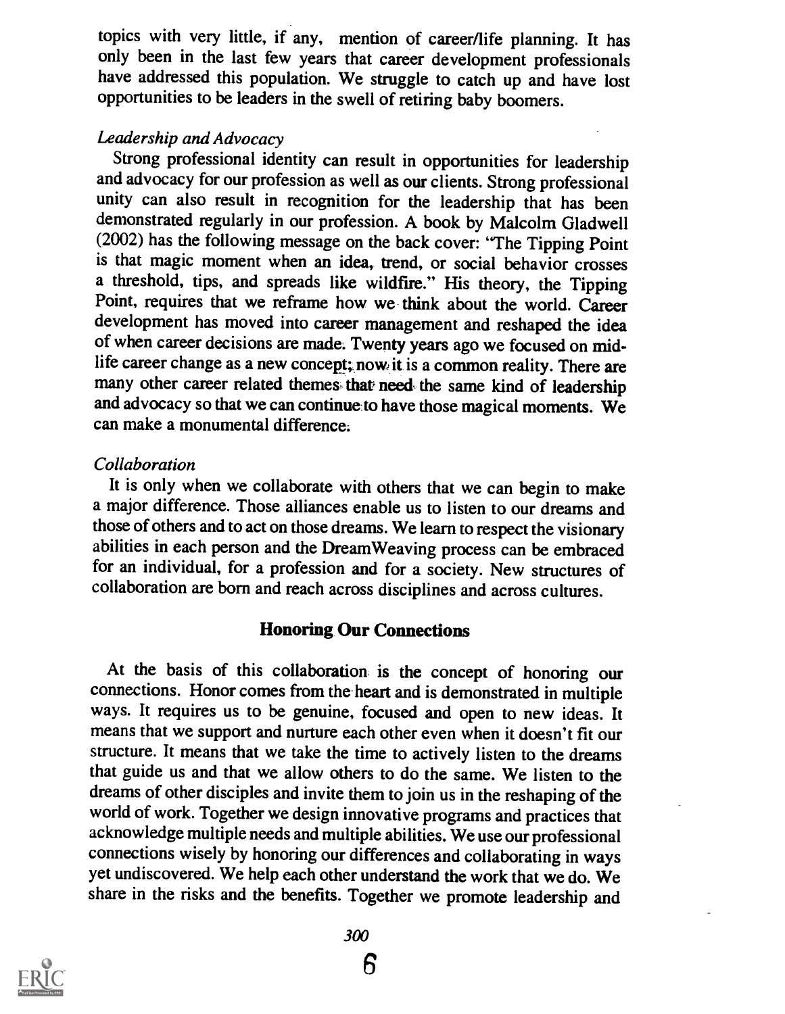topics with very little, if any, mention of career/life planning. It has only been in the last few years that career development professionals have addressed this population. We struggle to catch up and have lost opportunities to be leaders in the swell of retiring baby boomers.

#### Leadership and Advocacy

Strong professional identity can result in opportunities for leadership and advocacy for our profession as well as our clients. Strong professional unity can also result in recognition for the leadership that has been demonstrated regularly in our profession. A book by Malcolm Gladwell (2002) has the following message on the back cover: "The Tipping Point is that magic moment when an idea, trend, or social behavior crosses a threshold, tips, and spreads like wildfire." His theory, the Tipping Point, requires that we reframe how we think about the world. Career development has moved into career management and reshaped the idea of when career decisions are made: Twenty years ago we focused on midlife career change as a new concept; now, it is a common reality. There are many other career related themes that need the same kind of leadership and advocacy so that we can continue-to have those magical moments. We can make a monumental difference.

#### Collaboration

It is only when we collaborate with others that we can begin to make a major difference. Those alliances enable us to listen to our dreams and those of others and to act on those dreams. We learn to respect the visionary abilities in each person and the Dream Weaving process can be embraced for an individual, for a profession and for a society. New structures of collaboration are born and reach across disciplines and across cultures.

#### Honoring Our Connections

At the basis of this collaboration is the concept of honoring our connections. Honor comes from the heart and is demonstrated in multiple ways. It requires us to be genuine, focused and open to new ideas. It means that we support and nurture each other even when it doesn't fit our structure. It means that we take the time to actively listen to the dreams that guide us and that we allow others to do the same. We listen to the dreams of other disciples and invite them to join us in the reshaping of the world of work. Together we design innovative programs and practices that acknowledge multiple needs and multiple abilities. Weuse our professional connections wisely by honoring our differences and collaborating in ways yet undiscovered. We help each other understand the work that we do. We share in the risks and the benefits. Together we promote leadership and

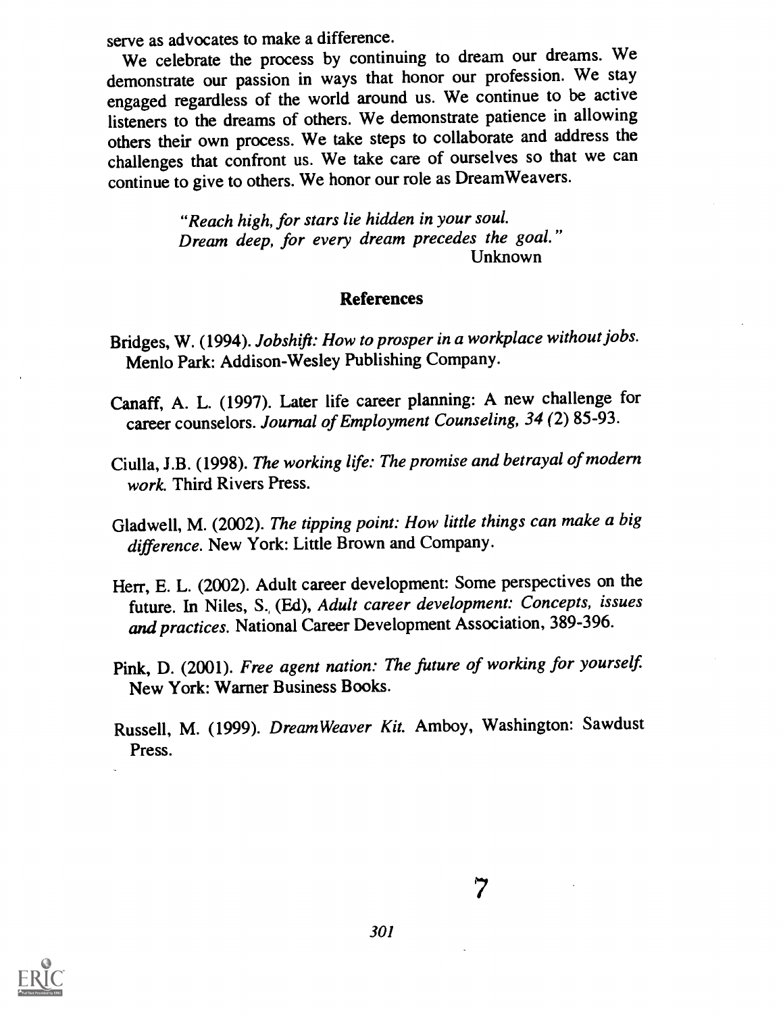serve as advocates to make a difference.

We celebrate the process by continuing to dream our dreams. We demonstrate our passion in ways that honor our profession. We stay engaged regardless of the world around us. We continue to be active listeners to the dreams of others. We demonstrate patience in allowing others their own process. We take steps to collaborate and address the challenges that confront us. We take care of ourselves so that we can continue to give to others. We honor our role as Dream Weavers.

> "Reach high, for stars lie hidden in your soul. Dream deep, for every dream precedes the goal." Unknown

#### References

- Bridges, W. (1994). Jobshift: How to prosper in a workplace without jobs. Menlo Park: Addison-Wesley Publishing Company.
- Canaff, A. L. (1997). Later life career planning: A new challenge for career counselors. Journal of Employment Counseling, 34 (2) 85-93.
- Ciulla, J.B. (1998). The working life: The promise and betrayal of modern work. Third Rivers Press.
- Gladwell, M. (2002). The tipping point: How little things can make a big difference. New York: Little Brown and Company.
- Herr, E. L. (2002). Adult career development: Some perspectives on the future. In Niles, S. (Ed), Adult career development: Concepts, issues and practices. National Career Development Association, 389-396.
- Pink, D. (2001). Free agent nation: The future of working for yourself. New York: Warner Business Books.
- Russell, M. (1999). DreamWeaver Kit. Amboy, Washington: Sawdust Press.



ウ